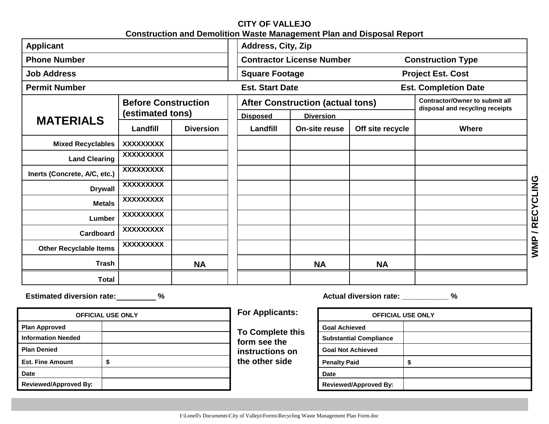### **CITY OF VALLEJO Construction and Demolition Waste Management Plan and Disposal Report**

| <b>Applicant</b>                           |           | <b>Address, City, Zip</b>                      |                                                              |                                                                                |                              |                                     |                                                                          |  |
|--------------------------------------------|-----------|------------------------------------------------|--------------------------------------------------------------|--------------------------------------------------------------------------------|------------------------------|-------------------------------------|--------------------------------------------------------------------------|--|
| <b>Phone Number</b>                        |           |                                                | <b>Construction Type</b><br><b>Contractor License Number</b> |                                                                                |                              |                                     |                                                                          |  |
| <b>Job Address</b><br><b>Permit Number</b> |           |                                                |                                                              | <b>Square Footage</b><br><b>Est. Start Date</b>                                |                              |                                     | <b>Project Est. Cost</b>                                                 |  |
|                                            |           |                                                |                                                              |                                                                                |                              |                                     | <b>Est. Completion Date</b>                                              |  |
|                                            |           | <b>Before Construction</b><br>(estimated tons) |                                                              | <b>After Construction (actual tons)</b><br><b>Disposed</b><br><b>Diversion</b> |                              |                                     | <b>Contractor/Owner to submit all</b><br>disposal and recycling receipts |  |
| <b>MATERIALS</b>                           | Landfill  | <b>Diversion</b>                               | Landfill                                                     |                                                                                | On-site reuse                | Off site recycle                    | Where                                                                    |  |
| <b>Mixed Recyclables</b>                   | XXXXXXXXX |                                                |                                                              |                                                                                |                              |                                     |                                                                          |  |
| <b>Land Clearing</b>                       | XXXXXXXXX |                                                |                                                              |                                                                                |                              |                                     |                                                                          |  |
| Inerts (Concrete, A/C, etc.)               | XXXXXXXX  |                                                |                                                              |                                                                                |                              |                                     |                                                                          |  |
| <b>Drywall</b>                             | XXXXXXXXX |                                                |                                                              |                                                                                |                              |                                     |                                                                          |  |
| <b>Metals</b>                              | XXXXXXXXX |                                                |                                                              |                                                                                |                              |                                     |                                                                          |  |
| Lumber                                     | XXXXXXXXX |                                                |                                                              |                                                                                |                              |                                     |                                                                          |  |
| Cardboard                                  | XXXXXXXXX |                                                |                                                              |                                                                                |                              |                                     |                                                                          |  |
| <b>Other Recyclable Items</b>              | XXXXXXXXX |                                                |                                                              |                                                                                |                              |                                     |                                                                          |  |
| <b>Trash</b>                               |           | <b>NA</b>                                      |                                                              |                                                                                | <b>NA</b>                    | <b>NA</b>                           |                                                                          |  |
| <b>Total</b>                               |           |                                                |                                                              |                                                                                |                              |                                     |                                                                          |  |
| Estimated diversion rate: 46               |           |                                                |                                                              |                                                                                |                              | Actual diversion rate: ___________% |                                                                          |  |
| <b>OFFICIAL USE ONLY</b>                   |           |                                                |                                                              | <b>For Applicants:</b><br><b>OFFICIAL USE ONLY</b><br><b>Goal Achieved</b>     |                              |                                     |                                                                          |  |
| <b>Plan Approved</b>                       |           |                                                |                                                              |                                                                                |                              |                                     |                                                                          |  |
| <b>Information Needed</b>                  |           |                                                |                                                              | <b>To Complete this</b><br>form see the<br>instructions on                     |                              | <b>Substantial Compliance</b>       |                                                                          |  |
| <b>Plan Denied</b>                         | \$        |                                                |                                                              |                                                                                |                              | <b>Goal Not Achieved</b>            |                                                                          |  |
| <b>Est. Fine Amount</b>                    |           |                                                | the other side                                               |                                                                                | \$<br><b>Penalty Paid</b>    |                                     |                                                                          |  |
| <b>Date</b>                                |           |                                                |                                                              |                                                                                | <b>Date</b>                  |                                     |                                                                          |  |
| <b>Reviewed/Approved By:</b>               |           |                                                |                                                              |                                                                                | <b>Reviewed/Approved By:</b> |                                     |                                                                          |  |